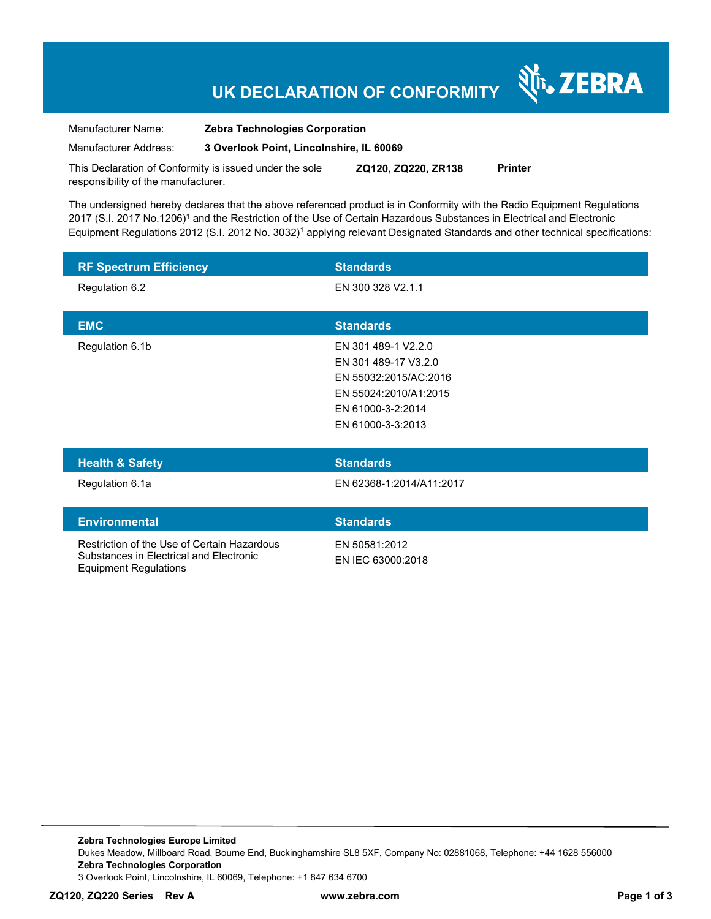# **UK DECLARATION OF CONFORMITY**

र्शे<sub>ि</sub> ZEBRA

Manufacturer Name: **Zebra Technologies Corporation**  Manufacturer Address: **3 Overlook Point, Lincolnshire, IL 60069** 

This Declaration of Conformity is issued under the sole responsibility of the manufacturer. **ZQ120, ZQ220, ZR138 Printer** 

The undersigned hereby declares that the above referenced product is in Conformity with the Radio Equipment Regulations 2017 (S.I. 2017 No.1206)<sup>1</sup> and the Restriction of the Use of Certain Hazardous Substances in Electrical and Electronic Equipment Regulations 2012 (S.I. 2012 No. 3032)<sup>1</sup> applying relevant Designated Standards and other technical specifications:

| <b>RF Spectrum Efficiency</b> | <b>Standards</b>      |
|-------------------------------|-----------------------|
| Regulation 6.2                | EN 300 328 V2.1.1     |
| <b>EMC</b>                    | <b>Standards</b>      |
|                               |                       |
| Regulation 6.1b               | EN 301 489-1 V2.2.0   |
|                               | EN 301 489-17 V3.2.0  |
|                               | EN 55032:2015/AC:2016 |
|                               | EN 55024:2010/A1:2015 |
|                               | EN 61000-3-2:2014     |
|                               | EN 61000-3-3:2013     |
|                               |                       |

| <b>Health &amp; Safety</b> | <b>Standards</b>         |
|----------------------------|--------------------------|
| Regulation 6.1a            | EN 62368-1:2014/A11:2017 |
|                            |                          |
| <b>Environmental</b>       | <b>Standards</b>         |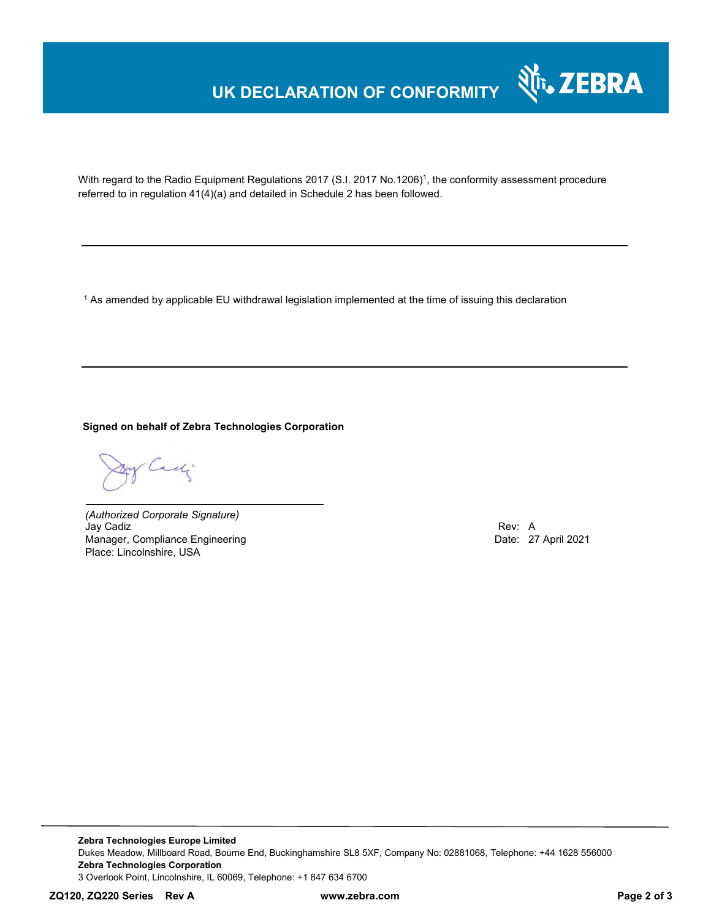# **UK DECLARATION OF CONFORMITY**



With regard to the Radio Equipment Regulations 2017 (S.I. 2017 No.1206)<sup>1</sup>, the conformity assessment procedure referred to in regulation 41(4)(a) and detailed in Schedule 2 has been followed.

 $^{\rm 1}$  As amended by applicable EU withdrawal legislation implemented at the time of issuing this declaration

### **Signed on behalf of Zebra Technologies Corporation**

Cady

*(Authorized Corporate Signature)* Jay Cadiz Rev: A Manager, Compliance Engineering **Date: 27 April 2021 Date: 27 April 2021** Place: Lincolnshire, USA